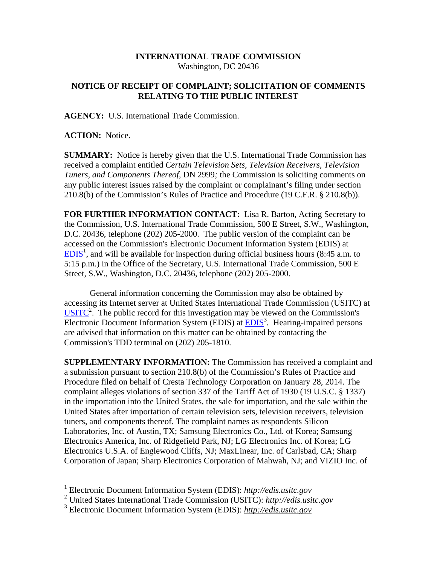## **INTERNATIONAL TRADE COMMISSION**  Washington, DC 20436

## **NOTICE OF RECEIPT OF COMPLAINT; SOLICITATION OF COMMENTS RELATING TO THE PUBLIC INTEREST**

**AGENCY:** U.S. International Trade Commission.

**ACTION:** Notice.

1

**SUMMARY:** Notice is hereby given that the U.S. International Trade Commission has received a complaint entitled *Certain Television Sets, Television Receivers, Television Tuners, and Components Thereof,* DN 2999*;* the Commission is soliciting comments on any public interest issues raised by the complaint or complainant's filing under section 210.8(b) of the Commission's Rules of Practice and Procedure (19 C.F.R. § 210.8(b)).

**FOR FURTHER INFORMATION CONTACT:** Lisa R. Barton, Acting Secretary to the Commission, U.S. International Trade Commission, 500 E Street, S.W., Washington, D.C. 20436, telephone (202) 205-2000. The public version of the complaint can be accessed on the Commission's Electronic Document Information System (EDIS) at  $EDIS<sup>1</sup>$ , and will be available for inspection during official business hours (8:45 a.m. to 5:15 p.m.) in the Office of the Secretary, U.S. International Trade Commission, 500 E Street, S.W., Washington, D.C. 20436, telephone (202) 205-2000.

General information concerning the Commission may also be obtained by accessing its Internet server at United States International Trade Commission (USITC) at  $\overline{\text{USITC}}^2$ . The public record for this investigation may be viewed on the Commission's Electronic Document Information System (EDIS) at **EDIS**<sup>3</sup>. Hearing-impaired persons are advised that information on this matter can be obtained by contacting the Commission's TDD terminal on (202) 205-1810.

**SUPPLEMENTARY INFORMATION:** The Commission has received a complaint and a submission pursuant to section 210.8(b) of the Commission's Rules of Practice and Procedure filed on behalf of Cresta Technology Corporation on January 28, 2014. The complaint alleges violations of section 337 of the Tariff Act of 1930 (19 U.S.C. § 1337) in the importation into the United States, the sale for importation, and the sale within the United States after importation of certain television sets, television receivers, television tuners, and components thereof. The complaint names as respondents Silicon Laboratories, Inc. of Austin, TX; Samsung Electronics Co., Ltd. of Korea; Samsung Electronics America, Inc. of Ridgefield Park, NJ; LG Electronics Inc. of Korea; LG Electronics U.S.A. of Englewood Cliffs, NJ; MaxLinear, Inc. of Carlsbad, CA; Sharp Corporation of Japan; Sharp Electronics Corporation of Mahwah, NJ; and VIZIO Inc. of

<sup>1</sup> Electronic Document Information System (EDIS): *http://edis.usitc.gov*

<sup>2</sup> United States International Trade Commission (USITC): *http://edis.usitc.gov*

<sup>3</sup> Electronic Document Information System (EDIS): *http://edis.usitc.gov*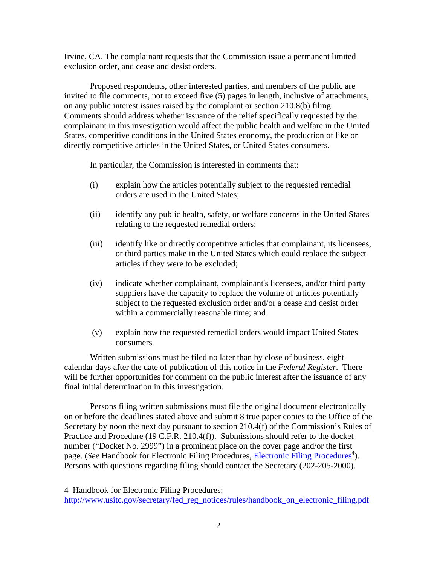Irvine, CA. The complainant requests that the Commission issue a permanent limited exclusion order, and cease and desist orders.

Proposed respondents, other interested parties, and members of the public are invited to file comments, not to exceed five (5) pages in length, inclusive of attachments, on any public interest issues raised by the complaint or section 210.8(b) filing. Comments should address whether issuance of the relief specifically requested by the complainant in this investigation would affect the public health and welfare in the United States, competitive conditions in the United States economy, the production of like or directly competitive articles in the United States, or United States consumers.

In particular, the Commission is interested in comments that:

- (i) explain how the articles potentially subject to the requested remedial orders are used in the United States;
- (ii) identify any public health, safety, or welfare concerns in the United States relating to the requested remedial orders;
- (iii) identify like or directly competitive articles that complainant, its licensees, or third parties make in the United States which could replace the subject articles if they were to be excluded;
- (iv) indicate whether complainant, complainant's licensees, and/or third party suppliers have the capacity to replace the volume of articles potentially subject to the requested exclusion order and/or a cease and desist order within a commercially reasonable time; and
- (v) explain how the requested remedial orders would impact United States consumers.

Written submissions must be filed no later than by close of business, eight calendar days after the date of publication of this notice in the *Federal Register*. There will be further opportunities for comment on the public interest after the issuance of any final initial determination in this investigation.

Persons filing written submissions must file the original document electronically on or before the deadlines stated above and submit 8 true paper copies to the Office of the Secretary by noon the next day pursuant to section 210.4(f) of the Commission's Rules of Practice and Procedure (19 C.F.R. 210.4(f)). Submissions should refer to the docket number ("Docket No. 2999") in a prominent place on the cover page and/or the first page. (*See* Handbook for Electronic Filing Procedures, *Electronic Filing Procedures*<sup>4</sup>). Persons with questions regarding filing should contact the Secretary (202-205-2000).

 $\overline{a}$ 

<sup>4</sup> Handbook for Electronic Filing Procedures:

http://www.usitc.gov/secretary/fed\_reg\_notices/rules/handbook\_on\_electronic\_filing.pdf